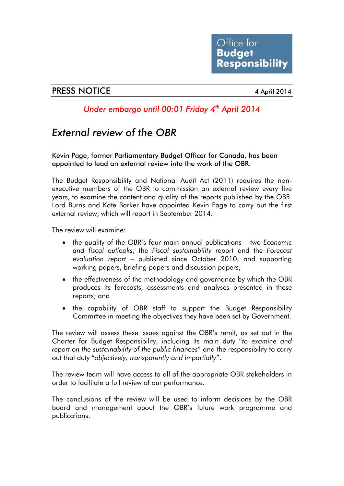## PRESS NOTICE 4 April 2014

## *Under embargo until 00:01 Friday 4th April 2014*

## *External review of the OBR*

Kevin Page, former Parliamentary Budget Officer for Canada, has been appointed to lead an external review into the work of the OBR.

The Budget Responsibility and National Audit Act (2011) requires the nonexecutive members of the OBR to commission an external review every five years, to examine the content and quality of the reports published by the OBR. Lord Burns and Kate Barker have appointed Kevin Page to carry out the first external review, which will report in September 2014.

The review will examine:

- the quality of the OBR's four main annual publications two *Economic and fiscal outlooks*, the *Fiscal sustainability report* and the *Forecast evaluation report* – published since October 2010, and supporting working papers, briefing papers and discussion papers;
- the effectiveness of the methodology and governance by which the OBR produces its forecasts, assessments and analyses presented in these reports; and
- the capability of OBR staff to support the Budget Responsibility Committee in meeting the objectives they have been set by Government.

The review will assess these issues against the OBR's remit, as set out in the Charter for Budget Responsibility, including its main duty "*to examine and report on the sustainability of the public finances*" and the responsibility to carry out that duty "*objectively, transparently and impartially*".

The review team will have access to all of the appropriate OBR stakeholders in order to facilitate a full review of our performance.

The conclusions of the review will be used to inform decisions by the OBR board and management about the OBR's future work programme and publications.